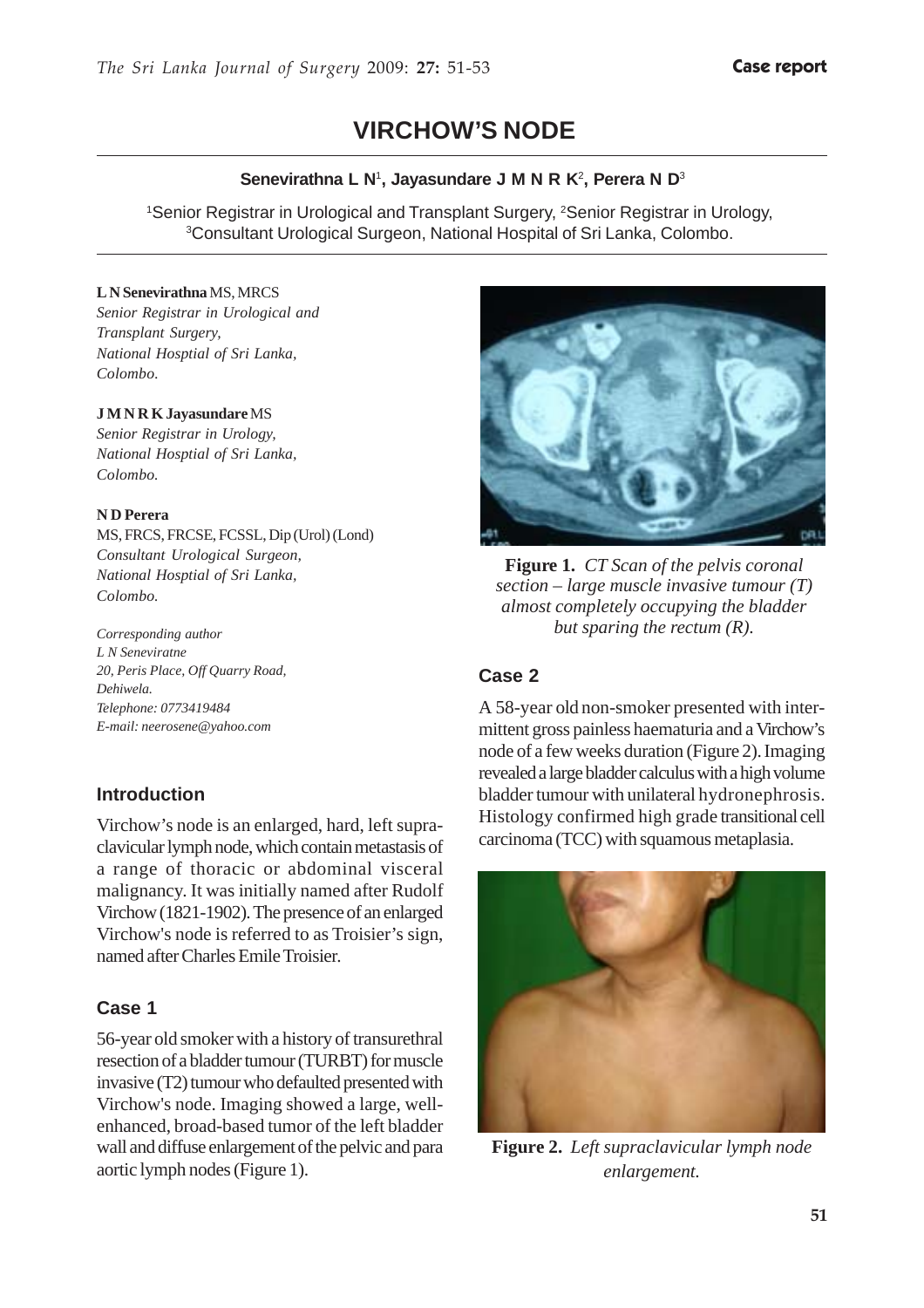# **VIRCHOW'S NODE**

### **Senevirathna L N**<sup>1</sup> **, Jayasundare J M N R K**<sup>2</sup> **, Perera N D**<sup>3</sup>

<sup>1</sup>Senior Registrar in Urological and Transplant Surgery, <sup>2</sup>Senior Registrar in Urology, 3 Consultant Urological Surgeon, National Hospital of Sri Lanka, Colombo.

#### **L N Senevirathna** MS, MRCS

*Senior Registrar in Urological and Transplant Surgery, National Hosptial of Sri Lanka, Colombo*.

#### **J M N R K Jayasundare** MS

*Senior Registrar in Urology, National Hosptial of Sri Lanka, Colombo.*

#### **N D Perera**

MS, FRCS, FRCSE, FCSSL, Dip (Urol) (Lond) *Consultant Urological Surgeon, National Hosptial of Sri Lanka, Colombo.*

*Corresponding author L N Seneviratne 20, Peris Place, Off Quarry Road, Dehiwela. Telephone: 0773419484 E-mail: neerosene@yahoo.com*

## **Introduction**

Virchow's node is an enlarged, hard, left supraclavicular lymph node, which contain metastasis of a range of thoracic or abdominal visceral malignancy. It was initially named after Rudolf Virchow (1821-1902). The presence of an enlarged Virchow's node is referred to as Troisier's sign, named after Charles Emile Troisier.

### **Case 1**

56-year old smoker with a history of transurethral resection of a bladder tumour (TURBT) for muscle invasive (T2) tumour who defaulted presented with Virchow's node. Imaging showed a large, wellenhanced, broad-based tumor of the left bladder wall and diffuse enlargement of the pelvic and para aortic lymph nodes (Figure 1).



**Figure 1.** *CT Scan of the pelvis coronal section – large muscle invasive tumour (T) almost completely occupying the bladder but sparing the rectum (R).*

## **Case 2**

A 58-year old non-smoker presented with intermittent gross painless haematuria and a Virchow's node of a few weeks duration (Figure 2). Imaging revealed a large bladder calculus with a high volume bladder tumour with unilateral hydronephrosis. Histology confirmed high grade transitional cell carcinoma (TCC) with squamous metaplasia.



**Figure 2.** *Left supraclavicular lymph node enlargement.*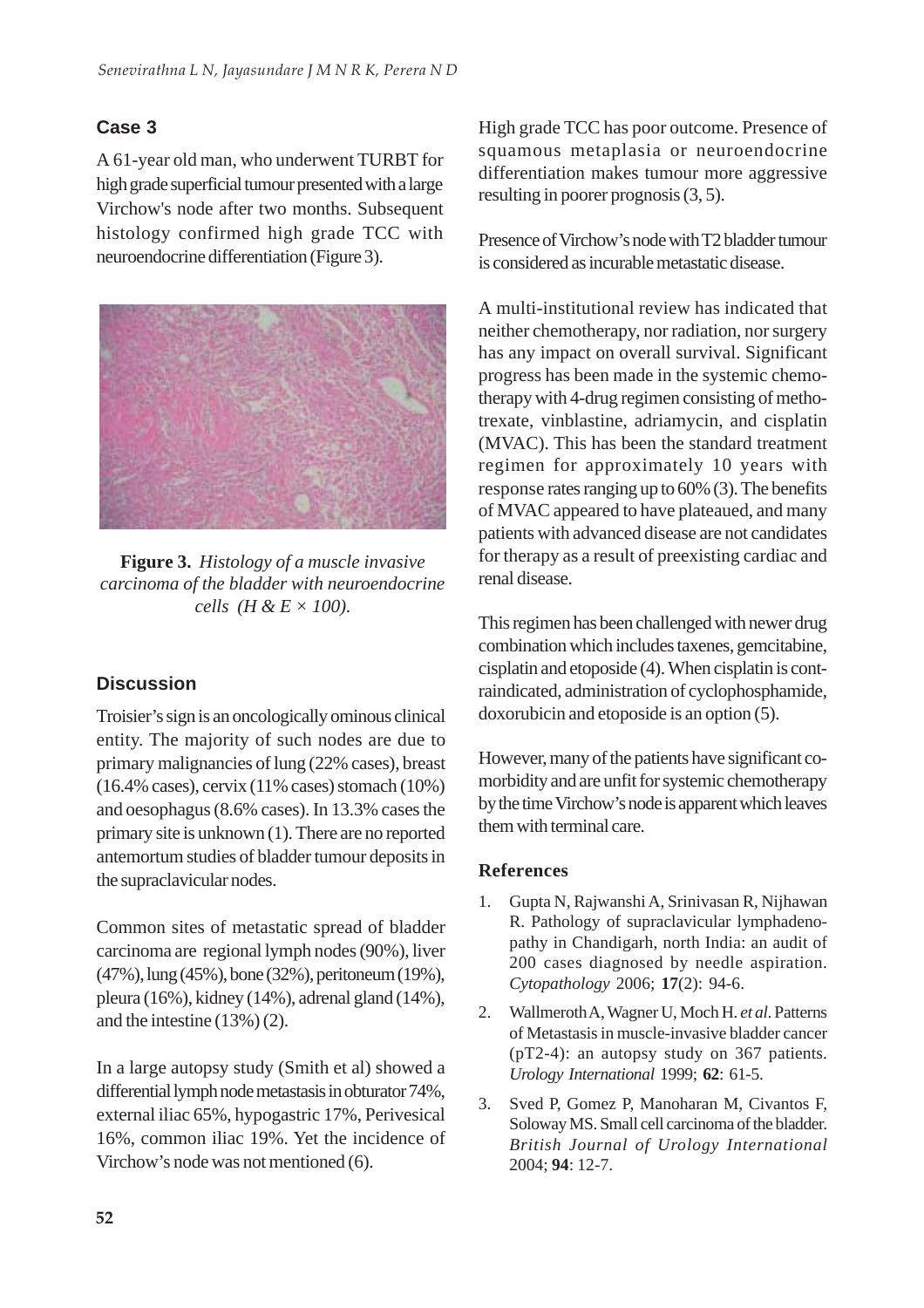# **Case 3**

A 61-year old man, who underwent TURBT for high grade superficial tumour presented with a large Virchow's node after two months. Subsequent histology confirmed high grade TCC with neuroendocrine differentiation (Figure 3).



**Figure 3.** *Histology of a muscle invasive carcinoma of the bladder with neuroendocrine cells (H & E × 100).*

# **Discussion**

Troisier's sign is an oncologically ominous clinical entity. The majority of such nodes are due to primary malignancies of lung (22% cases), breast (16.4% cases), cervix (11% cases) stomach (10%) and oesophagus (8.6% cases). In 13.3% cases the primary site is unknown (1). There are no reported antemortum studies of bladder tumour deposits in the supraclavicular nodes.

Common sites of metastatic spread of bladder carcinoma are regional lymph nodes (90%), liver (47%), lung (45%), bone (32%), peritoneum (19%), pleura (16%), kidney (14%), adrenal gland (14%), and the intestine (13%) (2).

In a large autopsy study (Smith et al) showed a differential lymph node metastasis in obturator 74%, external iliac 65%, hypogastric 17%, Perivesical 16%, common iliac 19%. Yet the incidence of Virchow's node was not mentioned (6).

High grade TCC has poor outcome. Presence of squamous metaplasia or neuroendocrine differentiation makes tumour more aggressive resulting in poorer prognosis (3, 5).

Presence of Virchow's node with T2 bladder tumour is considered as incurable metastatic disease.

A multi-institutional review has indicated that neither chemotherapy, nor radiation, nor surgery has any impact on overall survival. Significant progress has been made in the systemic chemotherapy with 4-drug regimen consisting of methotrexate, vinblastine, adriamycin, and cisplatin (MVAC). This has been the standard treatment regimen for approximately 10 years with response rates ranging up to 60% (3). The benefits of MVAC appeared to have plateaued, and many patients with advanced disease are not candidates for therapy as a result of preexisting cardiac and renal disease.

This regimen has been challenged with newer drug combination which includes taxenes, gemcitabine, cisplatin and etoposide (4). When cisplatin is contraindicated, administration of cyclophosphamide, doxorubicin and etoposide is an option (5).

However, many of the patients have significant comorbidity and are unfit for systemic chemotherapy by the time Virchow's node is apparent which leaves them with terminal care.

# **References**

- 1. Gupta N, Rajwanshi A, Srinivasan R, Nijhawan R. Pathology of supraclavicular lymphadenopathy in Chandigarh, north India: an audit of 200 cases diagnosed by needle aspiration. *Cytopathology* 2006; **17**(2): 94-6.
- 2. Wallmeroth A, Wagner U, Moch H. *et al*. Patterns of Metastasis in muscle-invasive bladder cancer (pT2-4): an autopsy study on 367 patients. *Urology International* 1999; **62**: 61-5.
- 3. Sved P, Gomez P, Manoharan M, Civantos F, Soloway MS. Small cell carcinoma of the bladder. *British Journal of Urology International* 2004; **94**: 12-7.